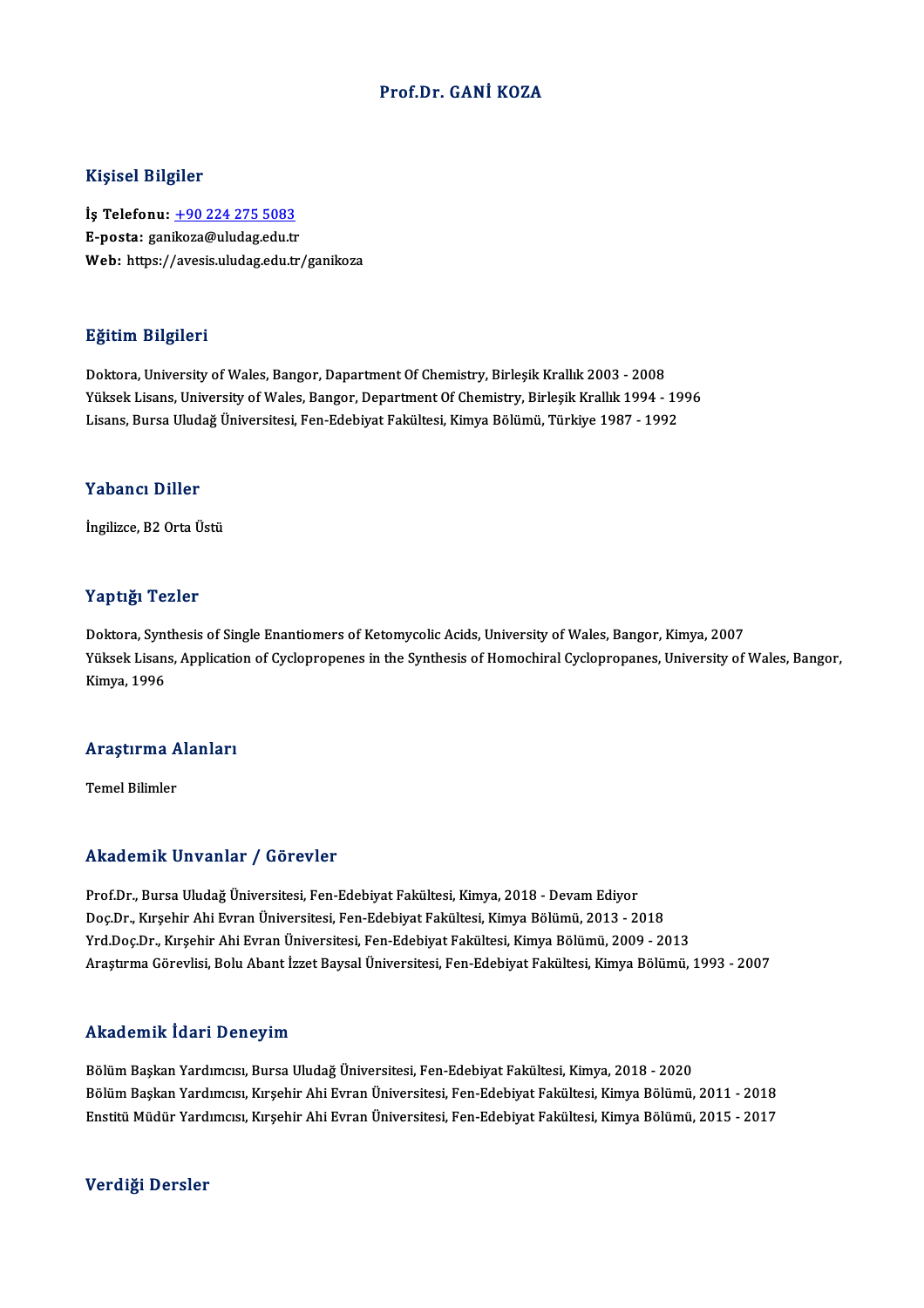## Prof.Dr. GANİ KOZA

### Kişisel Bilgiler

Kişisel Bilgiler<br>İş Telefonu: <u>+90 224 275 5083</u><br>E nosta: sanikaza@uludaz.edu.tr miyisər Brigher<br>İş Telefonu: <u>+90 224 275 5083</u><br>E-posta: gan[ikoza@uludag.edu.tr](tel:+90 224 275 5083) E-posta: ganikoza@uludag.edu.tr<br>Web: https://avesis.uludag.edu.tr/ganikoza

### Eğitim Bilgileri

Doktora, University of Wales, Bangor, Dapartment Of Chemistry, Birleşik Krallık 2003 - 2008 23.<br>Doktora, University of Wales, Bangor, Dapartment Of Chemistry, Birleşik Krallık 2003 - 2008<br>Yüksek Lisans, University of Wales, Bangor, Department Of Chemistry, Birleşik Krallık 1994 - 1996<br>Lisans, Bursa Uludağ Ünivers Doktora, University of Wales, Bangor, Dapartment Of Chemistry, Birleşik Krallık 2003 - 2008<br>Yüksek Lisans, University of Wales, Bangor, Department Of Chemistry, Birleşik Krallık 1994 - 19<br>Lisans, Bursa Uludağ Üniversitesi, Lisans, Bursa Uludağ Üniversitesi, Fen-Edebiyat Fakültesi, Kimya Bölümü, Türkiye 1987 - 1992<br>Yabancı Diller

İngilizce, B2 Orta Üstü

### Yaptığı Tezler

**Yaptığı Tezler<br>Doktora, Synthesis of Single Enantiomers of Ketomycolic Acids, University of Wales, Bangor, Kimya, 2007<br>Yüksek Lisans, Annlisation of Cyclonropenes in the Synthesis of Homochirel Cyclonropenes, University o** Yüksek Lisans, Application of Cyclopropenes in the Synthesis of Homochiral Cyclopropanes, University of Wales, Bangor,<br>Kimya, 1996 Doktora, Synt<br>Yüksek Lisan<br>Kimya, 1996

# <sub>Kımya, 1996</sub><br>Araştırma Alanları <mark>Araştırma A</mark><br>Temel Bilimler

# Akademik Unvanlar / Görevler

Prof.Dr., Bursa Uludağ Üniversitesi, Fen-Edebiyat Fakültesi, Kimya, 2018 - Devam Ediyor rındu emini Sirvaniar 7 dörevler<br>Prof.Dr., Bursa Uludağ Üniversitesi, Fen-Edebiyat Fakültesi, Kimya, 2018 - Devam Ediyor<br>Doç.Dr., Kırşehir Ahi Evran Üniversitesi, Fen-Edebiyat Fakültesi, Kimya Bölümü, 2013 - 2018<br>Vrd Doc.D Prof.Dr., Bursa Uludağ Üniversitesi, Fen-Edebiyat Fakültesi, Kimya, 2018 - Devam Ediyor<br>Doç.Dr., Kırşehir Ahi Evran Üniversitesi, Fen-Edebiyat Fakültesi, Kimya Bölümü, 2013 - 2018<br>Yrd.Doç.Dr., Kırşehir Ahi Evran Üniversite Yrd.Doç.Dr., Kırşehir Ahi Evran Üniversitesi, Fen-Edebiyat Fakültesi, Kimya Bölümü, 2009 - 2013<br>Araştırma Görevlisi, Bolu Abant İzzet Baysal Üniversitesi, Fen-Edebiyat Fakültesi, Kimya Bölümü, 1993 - 2007

### Akademik İdari Deneyim

Bölüm Başkan Yardımcısı, Bursa Uludağ Üniversitesi, Fen-Edebiyat Fakültesi, Kimya, 2018 - 2020 rındu olirin ruur i Dönöy'nir.<br>Bölüm Başkan Yardımcısı, Bursa Uludağ Üniversitesi, Fen-Edebiyat Fakültesi, Kimya, 2018 - 2020<br>Bölüm Başkan Yardımcısı, Kırşehir Ahi Evran Üniversitesi, Fen-Edebiyat Fakültesi, Kimya Bölümü, Bölüm Başkan Yardımcısı, Bursa Uludağ Üniversitesi, Fen-Edebiyat Fakültesi, Kimya, 2018 - 2020<br>Bölüm Başkan Yardımcısı, Kırşehir Ahi Evran Üniversitesi, Fen-Edebiyat Fakültesi, Kimya Bölümü, 2011 - 2018<br>Enstitü Müdür Yardı Enstitü Müdür Yardımcısı, Kırşehir Ahi Evran Üniversitesi, Fen-Edebiyat Fakültesi, Kimya Bölümü, 2015 - 2017<br>Verdiği Dersler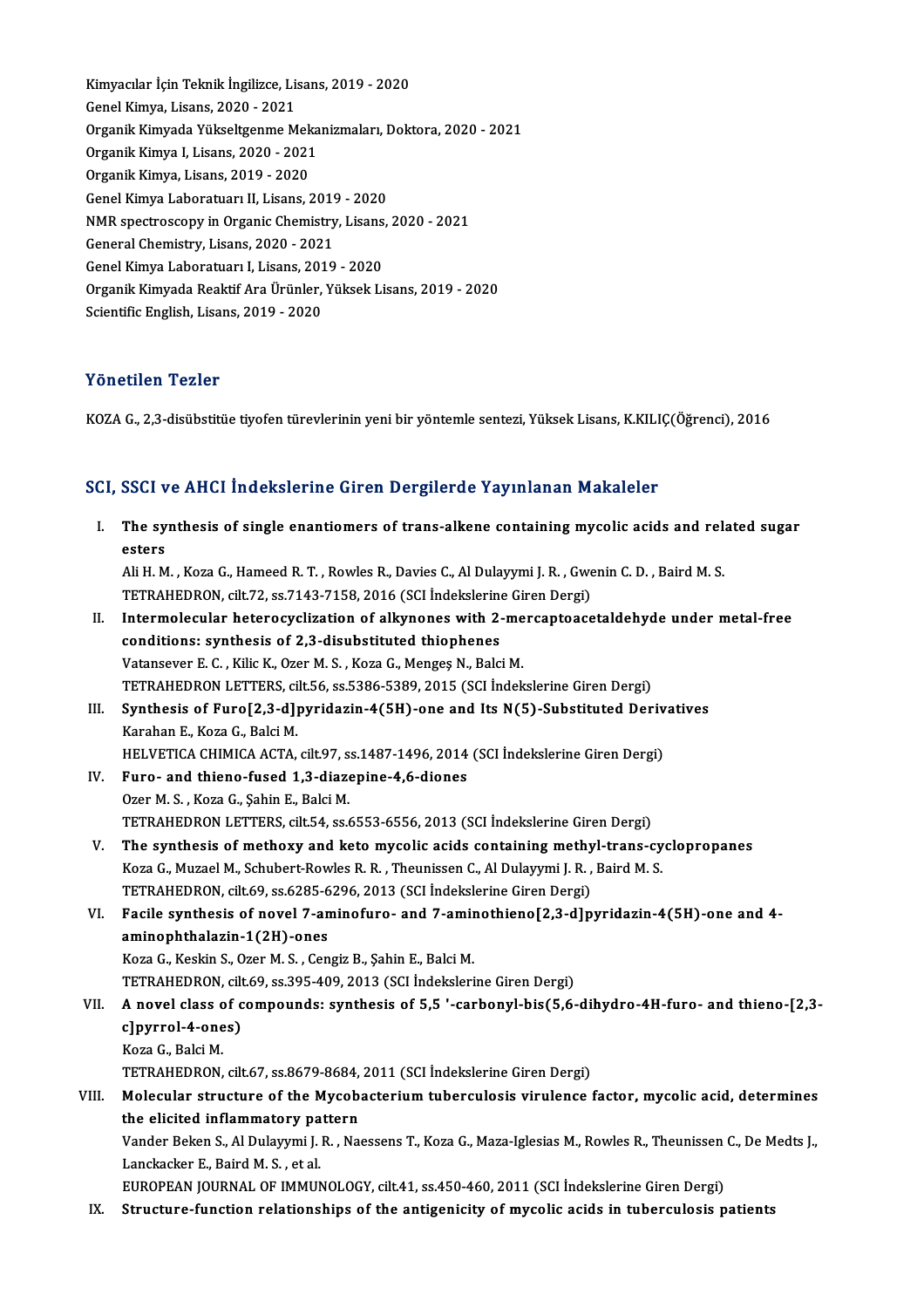Kimyacılar İçin Teknik İngilizce, Lisans, 2019 - 2020<br>Canal Kimya Lisans, 2020, 2021 Kimyacılar İçin Teknik İngilizce, Lis<br>Genel Kimya, Lisans, 2020 - 2021<br>Organik Kimyada Vülveltsanma M Kimyacılar İçin Teknik İngilizce, Lisans, 2019 - 2020<br>Genel Kimya, Lisans, 2020 - 2021<br>Organik Kimyada Yükseltgenme Mekanizmaları, Doktora, 2020 - 2021<br>Organik Kimya I. Lisans, 2020, 2021 Genel Kimya, Lisans, 2020 - 2021<br>Organik Kimyada Yükseltgenme Meka<br>Organik Kimya I, Lisans, 2020 - 2021<br>Organik Kimya I jaans, 2010 - 2020 Organik Kimya I, Lisans, 2020 - 2021<br>Organik Kimya, Lisans, 2019 - 2020 Organik Kimya I, Lisans, 2020 - 2021<br>Organik Kimya, Lisans, 2019 - 2020<br>Genel Kimya Laboratuarı II, Lisans, 2019 - 2020<br>NMB spectrossony in Organic Chamistry, Lisans Organik Kimya, Lisans, 2019 - 2020<br>Genel Kimya Laboratuarı II, Lisans, 2019 - 2020<br>NMR spectroscopy in Organic Chemistry, Lisans, 2020 - 2021<br>Ceneral Chemistry, Lisans, 2020 - 2021 Genel Kimya Laboratuarı II, Lisans, 2019<br>NMR spectroscopy in Organic Chemistry<br>General Chemistry, Lisans, 2020 - 2021<br>Conel Vimya Laboratuary I, Lisans, 2019 NMR spectroscopy in Organic Chemistry, Lisans,<br>General Chemistry, Lisans, 2020 - 2021<br>Genel Kimya Laboratuarı I, Lisans, 2019 - 2020<br>Organik Kimyada Boaktif Ara Ürünler, Vülsek Li General Chemistry, Lisans, 2020 - 2021<br>Genel Kimya Laboratuarı I, Lisans, 2019 - 2020<br>Organik Kimyada Reaktif Ara Ürünler, Yüksek Lisans, 2019 - 2020 Scientific English, Lisans, 2019 - 2020

# Yönetilen Tezler

KOZA G., 2,3-disübstitüe tiyofen türevlerinin yeni bir yöntemle sentezi, Yüksek Lisans, K.KILIÇ(Öğrenci), 2016

# ROZA G., 2,3-alsubsutue tiyoren turevierinin yeni bir yöntemle sentezi, füksek Lisans, R.R.L.I<br>SCI, SSCI ve AHCI İndekslerine Giren Dergilerde Yayınlanan Makaleler

| SCI, SSCI ve AHCI İndekslerine Giren Dergilerde Yayınlanan Makaleler |                                                                                                                    |  |
|----------------------------------------------------------------------|--------------------------------------------------------------------------------------------------------------------|--|
| I.                                                                   | The synthesis of single enantiomers of trans-alkene containing mycolic acids and related sugar<br>esters           |  |
|                                                                      | Ali H. M., Koza G., Hameed R. T., Rowles R., Davies C., Al Dulayymi J. R., Gwenin C. D., Baird M. S.               |  |
|                                                                      | TETRAHEDRON, cilt.72, ss.7143-7158, 2016 (SCI İndekslerine Giren Dergi)                                            |  |
| Н.                                                                   | Intermolecular heterocyclization of alkynones with 2-mercaptoacetaldehyde under metal-free                         |  |
|                                                                      | conditions: synthesis of 2,3-disubstituted thiophenes                                                              |  |
|                                                                      | Vatansever E. C., Kilic K., Ozer M. S., Koza G., Mengeş N., Balci M.                                               |  |
|                                                                      | TETRAHEDRON LETTERS, cilt.56, ss.5386-5389, 2015 (SCI İndekslerine Giren Dergi)                                    |  |
| III.                                                                 | Synthesis of Furo[2,3-d]pyridazin-4(5H)-one and Its N(5)-Substituted Derivatives                                   |  |
|                                                                      | Karahan E., Koza G., Balci M.                                                                                      |  |
|                                                                      | HELVETICA CHIMICA ACTA, cilt.97, ss.1487-1496, 2014 (SCI Indekslerine Giren Dergi)                                 |  |
| IV.                                                                  | Furo- and thieno-fused 1,3-diazepine-4,6-diones                                                                    |  |
|                                                                      | Ozer M. S., Koza G., Şahin E., Balci M.                                                                            |  |
|                                                                      | TETRAHEDRON LETTERS, cilt.54, ss.6553-6556, 2013 (SCI İndekslerine Giren Dergi)                                    |  |
| V.                                                                   | The synthesis of methoxy and keto mycolic acids containing methyl-trans-cyclopropanes                              |  |
|                                                                      | Koza G., Muzael M., Schubert-Rowles R. R., Theunissen C., Al Dulayymi J. R., Baird M. S.                           |  |
|                                                                      | TETRAHEDRON, cilt.69, ss.6285-6296, 2013 (SCI İndekslerine Giren Dergi)                                            |  |
| VI.                                                                  | Facile synthesis of novel 7-aminofuro- and 7-aminothieno[2,3-d]pyridazin-4(5H)-one and 4-                          |  |
|                                                                      | aminophthalazin-1(2H)-ones                                                                                         |  |
|                                                                      | Koza G., Keskin S., Ozer M. S., Cengiz B., Şahin E., Balci M.                                                      |  |
|                                                                      | TETRAHEDRON, cilt.69, ss.395-409, 2013 (SCI İndekslerine Giren Dergi)                                              |  |
| VII.                                                                 | A novel class of compounds: synthesis of 5,5 '-carbonyl-bis(5,6-dihydro-4H-furo- and thieno-[2,3-                  |  |
|                                                                      | c]pyrrol-4-ones)                                                                                                   |  |
|                                                                      | Koza G., Balci M.                                                                                                  |  |
|                                                                      | TETRAHEDRON, cilt.67, ss.8679-8684, 2011 (SCI İndekslerine Giren Dergi)                                            |  |
| VIII.                                                                | Molecular structure of the Mycobacterium tuberculosis virulence factor, mycolic acid, determines                   |  |
|                                                                      | the elicited inflammatory pattern                                                                                  |  |
|                                                                      | Vander Beken S., Al Dulayymi J. R., Naessens T., Koza G., Maza-Iglesias M., Rowles R., Theunissen C., De Medts J., |  |
|                                                                      | Lanckacker E., Baird M. S., et al.                                                                                 |  |
|                                                                      | EUROPEAN JOURNAL OF IMMUNOLOGY, cilt.41, ss.450-460, 2011 (SCI İndekslerine Giren Dergi)                           |  |
| IX.                                                                  | Structure-function relationships of the antigenicity of mycolic acids in tuberculosis patients                     |  |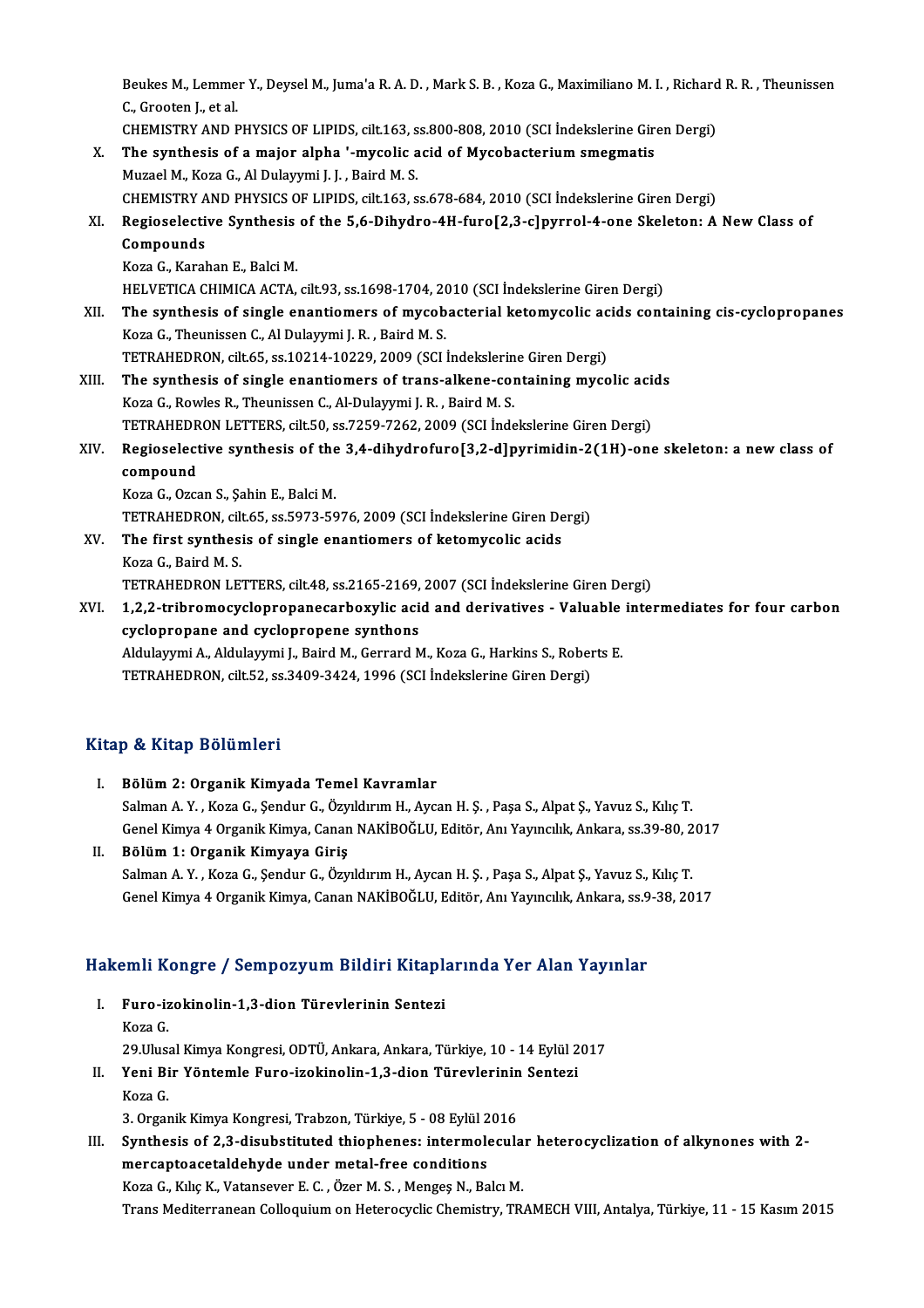Beukes M., Lemmer Y., Deysel M., Juma'a R. A. D. , Mark S. B. , Koza G., Maximiliano M. I. , Richard R. R. , Theunissen<br>S. Sposten Letal Beukes M., Lemme<br>C., Grooten J., et al.<br>CHEMISTRY AND E Beukes M., Lemmer Y., Deysel M., Juma'a R. A. D. , Mark S. B. , Koza G., Maximiliano M. I. , Richard<br>C., Grooten J., et al.<br>CHEMISTRY AND PHYSICS OF LIPIDS, cilt.163, ss.800-808, 2010 (SCI İndekslerine Giren Dergi)<br>The sun

|       | C., Grooten J., et al.                                                                              |
|-------|-----------------------------------------------------------------------------------------------------|
|       | CHEMISTRY AND PHYSICS OF LIPIDS, cilt.163, ss.800-808, 2010 (SCI Indekslerine Giren Dergi)          |
| X.    | The synthesis of a major alpha '-mycolic acid of Mycobacterium smegmatis                            |
|       | Muzael M., Koza G., Al Dulayymi J. J., Baird M. S.                                                  |
|       | CHEMISTRY AND PHYSICS OF LIPIDS, cilt.163, ss.678-684, 2010 (SCI Indekslerine Giren Dergi)          |
| XI.   | Regioselective Synthesis of the 5,6-Dihydro-4H-furo[2,3-c]pyrrol-4-one Skeleton: A New Class of     |
|       | Compounds                                                                                           |
|       | Koza G., Karahan E., Balci M.                                                                       |
|       | HELVETICA CHIMICA ACTA, cilt.93, ss.1698-1704, 2010 (SCI İndekslerine Giren Dergi)                  |
| XII.  | The synthesis of single enantiomers of mycobacterial ketomycolic acids containing cis-cyclopropanes |
|       | Koza G., Theunissen C., Al Dulayymi J. R., Baird M. S.                                              |
|       | TETRAHEDRON, cilt.65, ss.10214-10229, 2009 (SCI İndekslerine Giren Dergi)                           |
| XIII. | The synthesis of single enantiomers of trans-alkene-containing mycolic acids                        |
|       | Koza G., Rowles R., Theunissen C., Al-Dulayymi J. R., Baird M. S.                                   |
|       | TETRAHEDRON LETTERS, cilt.50, ss.7259-7262, 2009 (SCI İndekslerine Giren Dergi)                     |
| XIV.  | Regioselective synthesis of the 3,4-dihydrofuro[3,2-d]pyrimidin-2(1H)-one skeleton: a new class of  |
|       | compound                                                                                            |
|       | Koza G., Ozcan S., Şahin E., Balci M.                                                               |
|       | TETRAHEDRON, cilt.65, ss.5973-5976, 2009 (SCI Indekslerine Giren Dergi)                             |
| XV.   | The first synthesis of single enantiomers of ketomycolic acids                                      |
|       | Koza G., Baird M. S.                                                                                |
|       | TETRAHEDRON LETTERS, cilt48, ss.2165-2169, 2007 (SCI İndekslerine Giren Dergi)                      |
| XVI.  | 1,2,2-tribromocyclopropanecarboxylic acid and derivatives - Valuable intermediates for four carbon  |
|       | cyclopropane and cyclopropene synthons                                                              |
|       | Aldulawwni A Aldulawwni I Raird M Gerrard M Koza G Harkins S Roberts E                              |

Aldulayymi A., Aldulayymi J., Baird M., Gerrard M., Koza G., Harkins S., Roberts E. TETRAHEDRON, cilt.52, ss.3409-3424,1996 (SCI İndekslerineGirenDergi)

# Kitap & Kitap Bölümleri

- I. Bölüm2: Organik Kimyada Temel Kavramlar Salman A.Y., Koza G., Şendur G., Özyıldırım H., Aycan H. Ş., Paşa S., Alpat Ş., Yavuz S., Kılıç T. GenelKimya 4OrganikKimya,CananNAKİBOĞLU,Editör,AnıYayıncılık,Ankara, ss.39-80,2017
- II. Bölüm 1: Organik Kimyaya Giriş Genel Kimya 4 Organik Kimya, Canan NAKİBOĞLU, Editör, Anı Yayıncılık, Ankara, ss.39-80, 2<br>Bölüm 1: Organik Kimyaya Giriş<br>Salman A. Y. , Koza G., Şendur G., Özyıldırım H., Aycan H. Ş. , Paşa S., Alpat Ş., Yavuz S., Kılıç T. Bölüm 1: Organik Kimyaya Giriş<br>Salman A. Y. , Koza G., Şendur G., Özyıldırım H., Aycan H. Ş. , Paşa S., Alpat Ş., Yavuz S., Kılıç T.<br>Genel Kimya 4 Organik Kimya, Canan NAKİBOĞLU, Editör, Anı Yayıncılık, Ankara, ss.9-38, 20

# uenei Kimya 4 organik Kimya, Canan NAKibouLo, Editor, Ani Yayıncılık, Ankara, ss.<del>9</del><br>Hakemli Kongre / Sempozyum Bildiri Kitaplarında Yer Alan Yayınlar

- akemli Kongre / Sempozyum Bildiri Kitaplı<br>I. Furo-izokinolin-1,3-dion Türevlerinin Sentezi I. Furo-izokinolin-1,3-dion Türevlerinin Sentezi<br>Koza G. Furo-izokinolin-1,3-dion Türevlerinin Sentezi<br>Koza G.<br>29.Ulusal Kimya Kongresi, ODTÜ, Ankara, Ankara, Türkiye, 10 - 14 Eylül 2017<br>Yoni Bir Yöntemle Eure, izekinelin 1,3, dien Türevlerinin Senteri Koza G.<br>29.Ulusal Kimya Kongresi, ODTÜ, Ankara, Ankara, Türkiye, 10 - 14 Eylül 2<br>II. Yeni Bir Yöntemle Furo-izokinolin-1,3-dion Türevlerinin Sentezi<br>Koza C
- 29.Ulusa<br>Yeni Bi<br>Koza G. Yeni Bir Yöntemle Furo-izokinolin-1,3-dion Türevlerinin<br>Koza G.<br>3. Organik Kimya Kongresi, Trabzon, Türkiye, 5 - 08 Eylül 2016<br>Synthesia of 3.3. disubstituted thiophenesu intermelesule

I I. Soza G.<br>1. Synthesis of 2,3-disubstituted thiophenes: intermolecular heterocyclization of alkynones with 2-<br>1. Synthesis of 2,3-disubstituted thiophenes: intermolecular heterocyclization of alkynones with 2mercaptoacetaldehyde under metal-free conditions KozaG.,KılıçK.,Vatansever E.C. ,ÖzerM.S. ,MengeşN.,BalcıM. Trans Mediterranean Colloquium on Heterocyclic Chemistry, TRAMECH VIII, Antalya, Türkiye, 11 - 15 Kasım 2015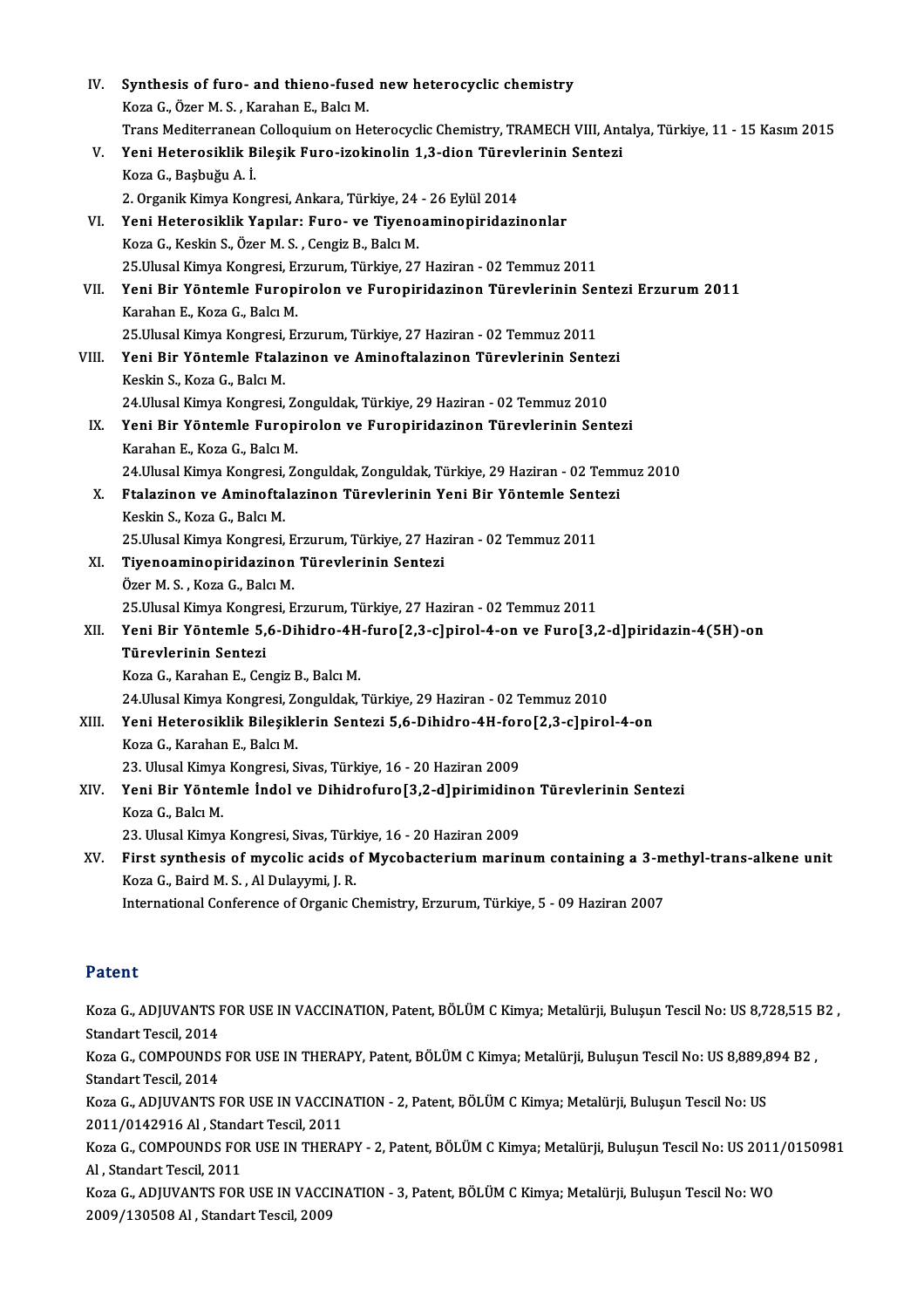| IV.                                                                                                                                                       | Synthesis of furo- and thieno-fused new heterocyclic chemistry                                                   |  |  |
|-----------------------------------------------------------------------------------------------------------------------------------------------------------|------------------------------------------------------------------------------------------------------------------|--|--|
|                                                                                                                                                           | Koza G., Özer M. S., Karahan E., Balcı M.                                                                        |  |  |
|                                                                                                                                                           | Trans Mediterranean Colloquium on Heterocyclic Chemistry, TRAMECH VIII, Antalya, Türkiye, 11 - 15 Kasım 2015     |  |  |
| V.                                                                                                                                                        | Yeni Heterosiklik Bileşik Furo-izokinolin 1,3-dion Türevlerinin Sentezi                                          |  |  |
|                                                                                                                                                           | Koza G., Başbuğu A. İ.                                                                                           |  |  |
|                                                                                                                                                           | 2. Organik Kimya Kongresi, Ankara, Türkiye, 24 - 26 Eylül 2014                                                   |  |  |
| VI.                                                                                                                                                       | Yeni Heterosiklik Yapılar: Furo- ve Tiyenoaminopiridazinonlar                                                    |  |  |
|                                                                                                                                                           | Koza G., Keskin S., Özer M. S., Cengiz B., Balcı M.                                                              |  |  |
|                                                                                                                                                           | 25. Ulusal Kimya Kongresi, Erzurum, Türkiye, 27 Haziran - 02 Temmuz 2011                                         |  |  |
| VII.                                                                                                                                                      | Yeni Bir Yöntemle Furopirolon ve Furopiridazinon Türevlerinin Sentezi Erzurum 2011                               |  |  |
|                                                                                                                                                           | Karahan E., Koza G., Balcı M.                                                                                    |  |  |
|                                                                                                                                                           | 25. Ulusal Kimya Kongresi, Erzurum, Türkiye, 27 Haziran - 02 Temmuz 2011                                         |  |  |
| VIII.                                                                                                                                                     | Yeni Bir Yöntemle Ftalazinon ve Aminoftalazinon Türevlerinin Sentezi                                             |  |  |
|                                                                                                                                                           | Keskin S., Koza G., Balcı M.                                                                                     |  |  |
|                                                                                                                                                           | 24.Ulusal Kimya Kongresi, Zonguldak, Türkiye, 29 Haziran - 02 Temmuz 2010                                        |  |  |
| IX.                                                                                                                                                       | Yeni Bir Yöntemle Furopirolon ve Furopiridazinon Türevlerinin Sentezi                                            |  |  |
|                                                                                                                                                           | Karahan E., Koza G., Balcı M.                                                                                    |  |  |
|                                                                                                                                                           | 24.Ulusal Kimya Kongresi, Zonguldak, Zonguldak, Türkiye, 29 Haziran - 02 Temmuz 2010                             |  |  |
| Х.                                                                                                                                                        | Ftalazinon ve Aminoftalazinon Türevlerinin Yeni Bir Yöntemle Sentezi<br>Keskin S., Koza G., Balcı M.             |  |  |
|                                                                                                                                                           | 25. Ulusal Kimya Kongresi, Erzurum, Türkiye, 27 Haziran - 02 Temmuz 2011                                         |  |  |
| XI.                                                                                                                                                       | Tiyenoaminopiridazinon Türevlerinin Sentezi                                                                      |  |  |
|                                                                                                                                                           | Özer M. S., Koza G., Balcı M.                                                                                    |  |  |
|                                                                                                                                                           | 25. Ulusal Kimya Kongresi, Erzurum, Türkiye, 27 Haziran - 02 Temmuz 2011                                         |  |  |
| XII.                                                                                                                                                      | Yeni Bir Yöntemle 5,6-Dihidro-4H-furo[2,3-c]pirol-4-on ve Furo[3,2-d]piridazin-4(5H)-on                          |  |  |
|                                                                                                                                                           | Türevlerinin Sentezi                                                                                             |  |  |
|                                                                                                                                                           | Koza G., Karahan E., Cengiz B., Balcı M.                                                                         |  |  |
|                                                                                                                                                           | 24 Ulusal Kimya Kongresi, Zonguldak, Türkiye, 29 Haziran - 02 Temmuz 2010                                        |  |  |
|                                                                                                                                                           | XIII. Yeni Heterosiklik Bileşiklerin Sentezi 5,6-Dihidro-4H-foro[2,3-c]pirol-4-on                                |  |  |
|                                                                                                                                                           | Koza G., Karahan E., Balcı M.                                                                                    |  |  |
|                                                                                                                                                           | 23. Ulusal Kimya Kongresi, Sivas, Türkiye, 16 - 20 Haziran 2009                                                  |  |  |
| XIV.                                                                                                                                                      | Yeni Bir Yöntemle İndol ve Dihidrofuro[3,2-d]pirimidinon Türevlerinin Sentezi                                    |  |  |
|                                                                                                                                                           | Koza G., Balcı M.                                                                                                |  |  |
|                                                                                                                                                           | 23. Ulusal Kimya Kongresi, Sivas, Türkiye, 16 - 20 Haziran 2009                                                  |  |  |
| XV.                                                                                                                                                       | First synthesis of mycolic acids of Mycobacterium marinum containing a 3-methyl-trans-alkene unit                |  |  |
|                                                                                                                                                           | Koza G., Baird M. S., Al Dulayymi, J. R.                                                                         |  |  |
|                                                                                                                                                           | International Conference of Organic Chemistry, Erzurum, Türkiye, 5 - 09 Haziran 2007                             |  |  |
|                                                                                                                                                           |                                                                                                                  |  |  |
| Patent                                                                                                                                                    |                                                                                                                  |  |  |
|                                                                                                                                                           | Koza G., ADJUVANTS FOR USE IN VACCINATION, Patent, BÖLÜM C Kimya; Metalürji, Buluşun Tescil No: US 8,728,515 B2, |  |  |
| Standart Tescil, 2014                                                                                                                                     |                                                                                                                  |  |  |
| Koza G., COMPOUNDS FOR USE IN THERAPY, Patent, BÖLÜM C Kimya; Metalürji, Buluşun Tescil No: US 8,889,894 B2,                                              |                                                                                                                  |  |  |
| Standart Tescil, 2014                                                                                                                                     |                                                                                                                  |  |  |
| Koza G., ADJUVANTS FOR USE IN VACCINATION - 2, Patent, BÖLÜM C Kimya; Metalürji, Buluşun Tescil No: US                                                    |                                                                                                                  |  |  |
| 2011/0142916 Al, Standart Tescil, 2011<br>Koza G., COMPOUNDS FOR USE IN THERAPY - 2, Patent, BÖLÜM C Kimya; Metalürji, Buluşun Tescil No: US 2011/0150981 |                                                                                                                  |  |  |
|                                                                                                                                                           | Al Ctandent Teggil 2011                                                                                          |  |  |

Al, Standart Tescil, 2011

Koza G., COMPOUNDS FOR USE IN THERAPY - 2, Patent, BÖLÜM C Kimya; Metalürji, Buluşun Tescil No: US 2011<br>Al , Standart Tescil, 2011<br>Koza G., ADJUVANTS FOR USE IN VACCINATION - 3, Patent, BÖLÜM C Kimya; Metalürji, Buluşun Te Al , Standart Tescil, 2011<br>Koza G., ADJUVANTS FOR USE IN VACCI<br>2009/130508 Al , Standart Tescil, 2009